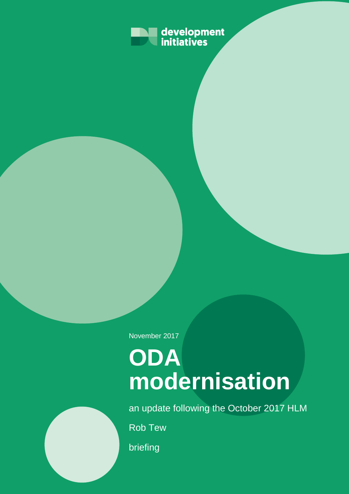

November 2017

# **ODA modernisation**

an update following the October 2017 HLM

Rob Tew

briefing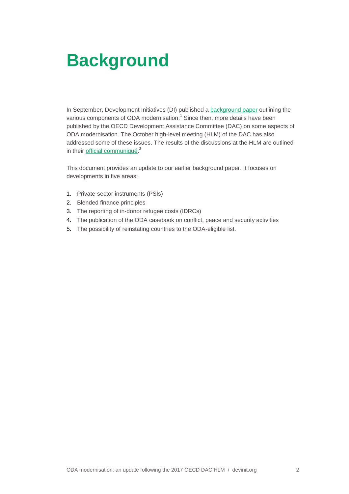# **Background**

In September, Development Initiatives (DI) published a [background paper](http://devinit.org/post/oda-modernisation-background-paper-changing-rules-aid/) outlining the various components of ODA modernisation. 1 Since then, more details have been published by the OECD Development Assistance Committee (DAC) on some aspects of ODA modernisation. The October high-level meeting (HLM) of the DAC has also addressed some of these issues. The results of the discussions at the HLM are outlined in their *[official communiqué.](http://www.oecd.org/dac/DAC-HLM-2017-Communique.pdf)*<sup>2</sup>

This document provides an update to our earlier background paper. It focuses on developments in five areas:

- 1. Private-sector instruments (PSIs)
- 2. Blended finance principles
- 3. The reporting of in-donor refugee costs (IDRCs)
- 4. The publication of the ODA casebook on conflict, peace and security activities
- 5. The possibility of reinstating countries to the ODA-eligible list.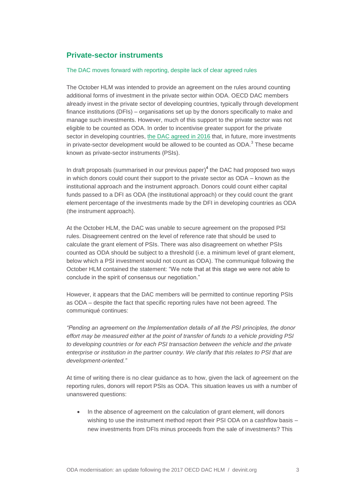# **Private-sector instruments**

#### The DAC moves forward with reporting, despite lack of clear agreed rules

The October HLM was intended to provide an agreement on the rules around counting additional forms of investment in the private sector within ODA. OECD DAC members already invest in the private sector of developing countries, typically through development finance institutions (DFIs) – organisations set up by the donors specifically to make and manage such investments. However, much of this support to the private sector was not eligible to be counted as ODA. In order to incentivise greater support for the private sector in developing countries, [the DAC agreed](http://www.oecd.org/dac/financing-sustainable-development/HLM-PSI.pdf) in 2016 that, in future, more investments in private-sector development would be allowed to be counted as  $ODA.^3$  These became known as private-sector instruments (PSIs).

In draft proposals (summarised in our previous paper)<sup>4</sup> the DAC had proposed two ways in which donors could count their support to the private sector as ODA – known as the institutional approach and the instrument approach. Donors could count either capital funds passed to a DFI as ODA (the institutional approach) or they could count the grant element percentage of the investments made by the DFI in developing countries as ODA (the instrument approach).

At the October HLM, the DAC was unable to secure agreement on the proposed PSI rules. Disagreement centred on the level of reference rate that should be used to calculate the grant element of PSIs. There was also disagreement on whether PSIs counted as ODA should be subject to a threshold (i.e. a minimum level of grant element, below which a PSI investment would not count as ODA). The communiqué following the October HLM contained the statement: "We note that at this stage we were not able to conclude in the spirit of consensus our negotiation."

However, it appears that the DAC members will be permitted to continue reporting PSIs as ODA – despite the fact that specific reporting rules have not been agreed. The communiqué continues:

*"Pending an agreement on the Implementation details of all the PSI principles, the donor effort may be measured either at the point of transfer of funds to a vehicle providing PSI to developing countries or for each PSI transaction between the vehicle and the private enterprise or institution in the partner country. We clarify that this relates to PSI that are development-oriented."*

At time of writing there is no clear guidance as to how, given the lack of agreement on the reporting rules, donors will report PSIs as ODA. This situation leaves us with a number of unanswered questions:

• In the absence of agreement on the calculation of grant element, will donors wishing to use the instrument method report their PSI ODA on a cashflow basis new investments from DFIs minus proceeds from the sale of investments? This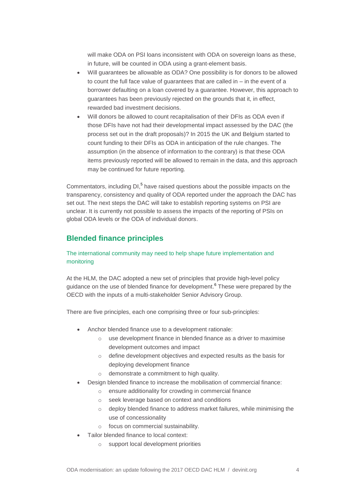will make ODA on PSI loans inconsistent with ODA on sovereign loans as these, in future, will be counted in ODA using a grant-element basis.

- Will guarantees be allowable as ODA? One possibility is for donors to be allowed to count the full face value of guarantees that are called in – in the event of a borrower defaulting on a loan covered by a guarantee. However, this approach to guarantees has been previously rejected on the grounds that it, in effect, rewarded bad investment decisions.
- Will donors be allowed to count recapitalisation of their DFIs as ODA even if those DFIs have not had their developmental impact assessed by the DAC (the process set out in the draft proposals)? In 2015 the UK and Belgium started to count funding to their DFIs as ODA in anticipation of the rule changes. The assumption (in the absence of information to the contrary) is that these ODA items previously reported will be allowed to remain in the data, and this approach may be continued for future reporting.

Commentators, including DI,<sup>5</sup> have raised questions about the possible impacts on the transparency, consistency and quality of ODA reported under the approach the DAC has set out. The next steps the DAC will take to establish reporting systems on PSI are unclear. It is currently not possible to assess the impacts of the reporting of PSIs on global ODA levels or the ODA of individual donors.

# **Blended finance principles**

## The international community may need to help shape future implementation and monitoring

At the HLM, the DAC adopted a new set of principles that provide high-level policy guidance on the use of blended finance for development.<sup>6</sup> These were prepared by the OECD with the inputs of a multi-stakeholder Senior Advisory Group.

There are five principles, each one comprising three or four sub-principles:

- Anchor blended finance use to a development rationale:
	- o use development finance in blended finance as a driver to maximise development outcomes and impact
	- o define development objectives and expected results as the basis for deploying development finance
	- o demonstrate a commitment to high quality.
- Design blended finance to increase the mobilisation of commercial finance:
	- o ensure additionality for crowding in commercial finance
	- o seek leverage based on context and conditions
	- o deploy blended finance to address market failures, while minimising the use of concessionality
	- o focus on commercial sustainability.
- Tailor blended finance to local context:
	- o support local development priorities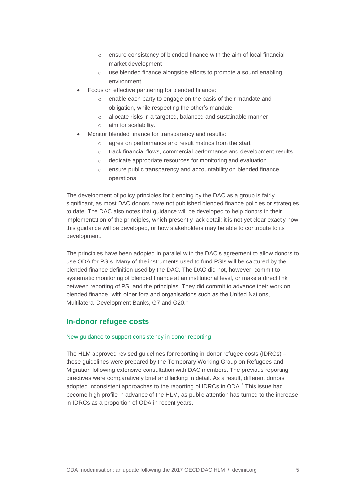- o ensure consistency of blended finance with the aim of local financial market development
- o use blended finance alongside efforts to promote a sound enabling environment.
- Focus on effective partnering for blended finance:
	- o enable each party to engage on the basis of their mandate and obligation, while respecting the other's mandate
	- o allocate risks in a targeted, balanced and sustainable manner
	- o aim for scalability.
- Monitor blended finance for transparency and results:
	- o agree on performance and result metrics from the start
	- o track financial flows, commercial performance and development results
	- o dedicate appropriate resources for monitoring and evaluation
	- o ensure public transparency and accountability on blended finance operations.

The development of policy principles for blending by the DAC as a group is fairly significant, as most DAC donors have not published blended finance policies or strategies to date. The DAC also notes that guidance will be developed to help donors in their implementation of the principles, which presently lack detail; it is not yet clear exactly how this guidance will be developed, or how stakeholders may be able to contribute to its development.

The principles have been adopted in parallel with the DAC's agreement to allow donors to use ODA for PSIs. Many of the instruments used to fund PSIs will be captured by the blended finance definition used by the DAC. The DAC did not, however, commit to systematic monitoring of blended finance at an institutional level, or make a direct link between reporting of PSI and the principles. They did commit to advance their work on blended finance "with other fora and organisations such as the United Nations, Multilateral Development Banks, G7 and G20.*"*

## **In-donor refugee costs**

#### New guidance to support consistency in donor reporting

The HLM approved revised guidelines for reporting in-donor refugee costs (IDRCs) – these guidelines were prepared by the Temporary Working Group on Refugees and Migration following extensive consultation with DAC members. The previous reporting directives were comparatively brief and lacking in detail. As a result, different donors adopted inconsistent approaches to the reporting of IDRCs in ODA.<sup>7</sup> This issue had become high profile in advance of the HLM, as public attention has turned to the increase in IDRCs as a proportion of ODA in recent years.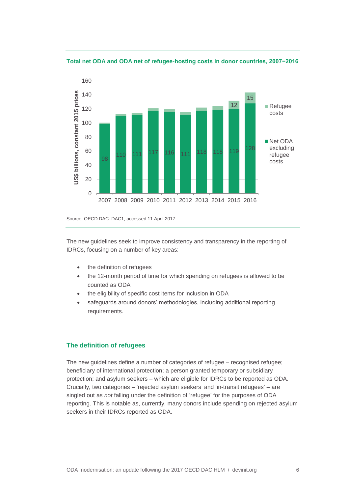160 JS\$ billions, constant 2015 prices **US\$ billions, constant 2015 prices** 140 15 12 Refugee 120 costs 100 80 ■Net ODA excluding 98 110 111 117 116 <sub>111</sub> 118 118 119 <sup>128</sup> 60 refugee costs40 20 0 2007 2008 2009 2010 2011 2012 2013 2014 2015 2016



Source: OECD DAC: DAC1, accessed 11 April 2017

The new guidelines seek to improve consistency and transparency in the reporting of IDRCs, focusing on a number of key areas:

- the definition of refugees
- the 12-month period of time for which spending on refugees is allowed to be counted as ODA
- the eligibility of specific cost items for inclusion in ODA
- safeguards around donors' methodologies, including additional reporting requirements.

#### **The definition of refugees**

The new guidelines define a number of categories of refugee – recognised refugee; beneficiary of international protection; a person granted temporary or subsidiary protection; and asylum seekers – which are eligible for IDRCs to be reported as ODA. Crucially, two categories – 'rejected asylum seekers' and 'in-transit refugees' – are singled out as *not* falling under the definition of 'refugee' for the purposes of ODA reporting. This is notable as, currently, many donors include spending on rejected asylum seekers in their IDRCs reported as ODA.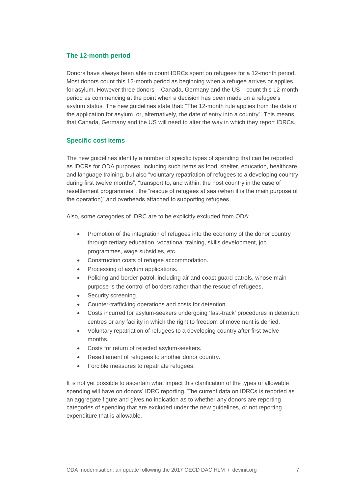#### **The 12-month period**

Donors have always been able to count IDRCs spent on refugees for a 12-month period. Most donors count this 12-month period as beginning when a refugee arrives or applies for asylum. However three donors – Canada, Germany and the US – count this 12-month period as commencing at the point when a decision has been made on a refugee's asylum status. The new guidelines state that: "The 12-month rule applies from the date of the application for asylum, or, alternatively, the date of entry into a country". This means that Canada, Germany and the US will need to alter the way in which they report IDRCs.

## **Specific cost items**

The new guidelines identify a number of specific types of spending that can be reported as IDCRs for ODA purposes, including such items as food, shelter, education, healthcare and language training, but also "voluntary repatriation of refugees to a developing country during first twelve months", "transport to, and within, the host country in the case of resettlement programmes", the "rescue of refugees at sea (when it is the main purpose of the operation)" and overheads attached to supporting refugees.

Also, some categories of IDRC are to be explicitly excluded from ODA:

- Promotion of the integration of refugees into the economy of the donor country through tertiary education, vocational training, skills development, job programmes, wage subsidies, etc.
- Construction costs of refugee accommodation.
- Processing of asylum applications.
- Policing and border patrol, including air and coast guard patrols, whose main purpose is the control of borders rather than the rescue of refugees.
- Security screening.
- Counter-trafficking operations and costs for detention.
- Costs incurred for asylum-seekers undergoing 'fast-track' procedures in detention centres or any facility in which the right to freedom of movement is denied.
- Voluntary repatriation of refugees to a developing country after first twelve months.
- Costs for return of rejected asylum-seekers.
- Resettlement of refugees to another donor country.
- Forcible measures to repatriate refugees.

It is not yet possible to ascertain what impact this clarification of the types of allowable spending will have on donors' IDRC reporting. The current data on IDRCs is reported as an aggregate figure and gives no indication as to whether any donors are reporting categories of spending that are excluded under the new guidelines, or not reporting expenditure that is allowable.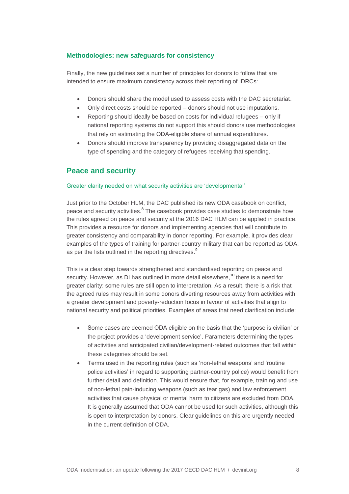#### **Methodologies: new safeguards for consistency**

Finally, the new guidelines set a number of principles for donors to follow that are intended to ensure maximum consistency across their reporting of IDRCs:

- Donors should share the model used to assess costs with the DAC secretariat.
- Only direct costs should be reported donors should not use imputations.
- Reporting should ideally be based on costs for individual refugees only if national reporting systems do not support this should donors use methodologies that rely on estimating the ODA-eligible share of annual expenditures.
- Donors should improve transparency by providing disaggregated data on the type of spending and the category of refugees receiving that spending.

# **Peace and security**

#### Greater clarity needed on what security activities are 'developmental'

Just prior to the October HLM, the DAC published its new ODA casebook on conflict, peace and security activities.<sup>8</sup> The casebook provides case studies to demonstrate how the rules agreed on peace and security at the 2016 DAC HLM can be applied in practice. This provides a resource for donors and implementing agencies that will contribute to greater consistency and comparability in donor reporting. For example, it provides clear examples of the types of training for partner-country military that can be reported as ODA, as per the lists outlined in the reporting directives.<sup>9</sup>

This is a clear step towards strengthened and standardised reporting on peace and security. However, as DI has outlined in more detail elsewhere,<sup>10</sup> there is a need for greater clarity: some rules are still open to interpretation. As a result, there is a risk that the agreed rules may result in some donors diverting resources away from activities with a greater development and poverty-reduction focus in favour of activities that align to national security and political priorities. Examples of areas that need clarification include:

- Some cases are deemed ODA eligible on the basis that the 'purpose is civilian' or the project provides a 'development service'. Parameters determining the types of activities and anticipated civilian/development-related outcomes that fall within these categories should be set.
- Terms used in the reporting rules (such as 'non-lethal weapons' and 'routine police activities' in regard to supporting partner-country police) would benefit from further detail and definition. This would ensure that, for example, training and use of non-lethal pain-inducing weapons (such as tear gas) and law enforcement activities that cause physical or mental harm to citizens are excluded from ODA. It is generally assumed that ODA cannot be used for such activities, although this is open to interpretation by donors. Clear guidelines on this are urgently needed in the current definition of ODA.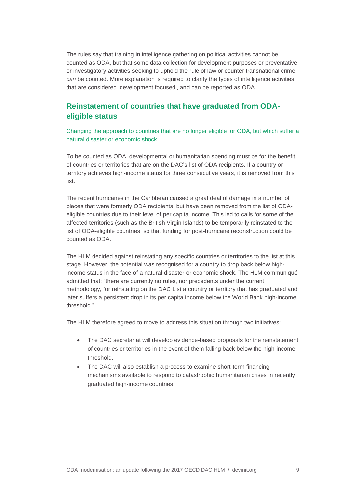The rules say that training in intelligence gathering on political activities cannot be counted as ODA, but that some data collection for development purposes or preventative or investigatory activities seeking to uphold the rule of law or counter transnational crime *can* be counted. More explanation is required to clarify the types of intelligence activities that are considered 'development focused', and can be reported as ODA.

# **Reinstatement of countries that have graduated from ODAeligible status**

Changing the approach to countries that are no longer eligible for ODA, but which suffer a natural disaster or economic shock

To be counted as ODA, developmental or humanitarian spending must be for the benefit of countries or territories that are on the DAC's list of ODA recipients. If a country or territory achieves high-income status for three consecutive years, it is removed from this list.

The recent hurricanes in the Caribbean caused a great deal of damage in a number of places that were formerly ODA recipients, but have been removed from the list of ODAeligible countries due to their level of per capita income. This led to calls for some of the affected territories (such as the British Virgin Islands) to be temporarily reinstated to the list of ODA-eligible countries, so that funding for post-hurricane reconstruction could be counted as ODA.

The HLM decided against reinstating any specific countries or territories to the list at this stage. However, the potential was recognised for a country to drop back below highincome status in the face of a natural disaster or economic shock. The HLM communiqué admitted that: "there are currently no rules, nor precedents under the current methodology, for reinstating on the DAC List a country or territory that has graduated and later suffers a persistent drop in its per capita income below the World Bank high-income threshold."

The HLM therefore agreed to move to address this situation through two initiatives:

- The DAC secretariat will develop evidence-based proposals for the reinstatement of countries or territories in the event of them falling back below the high-income threshold.
- The DAC will also establish a process to examine short-term financing mechanisms available to respond to catastrophic humanitarian crises in recently graduated high-income countries.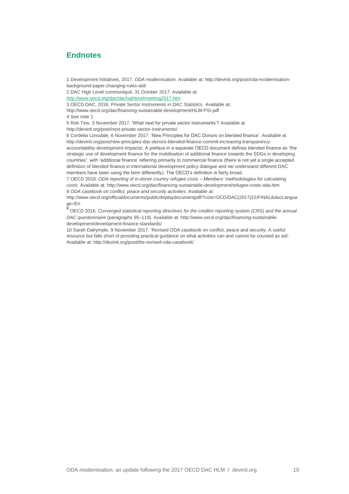# **Endnotes**

1 Development Initiatives, 2017. *ODA modernisation*. Available at: http://devinit.org/post/oda-modernisationbackground-paper-changing-rules-aid/

2 DAC High Level communiqué, 31 October 2017. Available at: <http://www.oecd.org/dac/dachighlevelmeeting2017.htm>

3 OECD DAC, 2016. *Private Sector Instruments in DAC Statistics*. Available at:

<http://www.oecd.org/dac/financing-sustainable-development/HLM-PSI.pdf>

4 See note 1

5 Rob Tew, 3 November 2017. 'What next for private sector instruments'? Available at

http://devinit.org/post/next-private-sector-instruments/

6 Cordelia Lonsdale, 6 November 2017. 'New Principles for DAC Donors on blended finance'. Available at [http://devinit.org/post/new-principles-dac-donors-blended-finance-commit-increasing-transparency](http://devinit.org/post/new-principles-dac-donors-blended-finance-commit-increasing-transparency-accountability-development-impacts/)[accountability-development-impacts/.](http://devinit.org/post/new-principles-dac-donors-blended-finance-commit-increasing-transparency-accountability-development-impacts/) A preface in a separate OECD document defines blended finance as "the strategic use of development finance for the mobilisation of additional finance towards the SDGs in developing countries", with 'additional finance' referring primarily to commercial finance (there is not yet a single accepted definition of blended finance in international development policy dialogue and we understand different DAC members have been using the term differently). The OECD's definition is fairly broad.

7 OECD 2016. *ODA reporting of in-donor country refugee costs – Members' methodologies for calculating costs*. Available at: http://www.oecd.org/dac/financing-sustainable-development/refugee-costs-oda.htm 8 *ODA casebook on conflict, peace and security activities*. Available at:

[http://www.oecd.org/officialdocuments/publicdisplaydocumentpdf/?cote=DCD/DAC\(2017\)22/FINAL&docLangua](http://www.oecd.org/officialdocuments/publicdisplaydocumentpdf/?cote=DCD/DAC(2017)22/FINAL&docLanguage=En) [ge=En](http://www.oecd.org/officialdocuments/publicdisplaydocumentpdf/?cote=DCD/DAC(2017)22/FINAL&docLanguage=En)

9 OECD 2016, *Converged statistical reporting directives for the creditor reporting system (CRS) and the annual DAC questionnaire* (paragraphs 95–119). Available at: http://www.oecd.org/dac/financing-sustainabledevelopment/development-finance-standards/

10 Sarah Dalrymple, 9 November 2017. 'Revised ODA casebook on conflict, peace and security: A useful resource but falls short of providing practical guidance on what activities can and cannot be counted as aid'. Available at[: http://devinit.org/post/the-revised-oda-casebook/](http://devinit.org/post/the-revised-oda-casebook/)